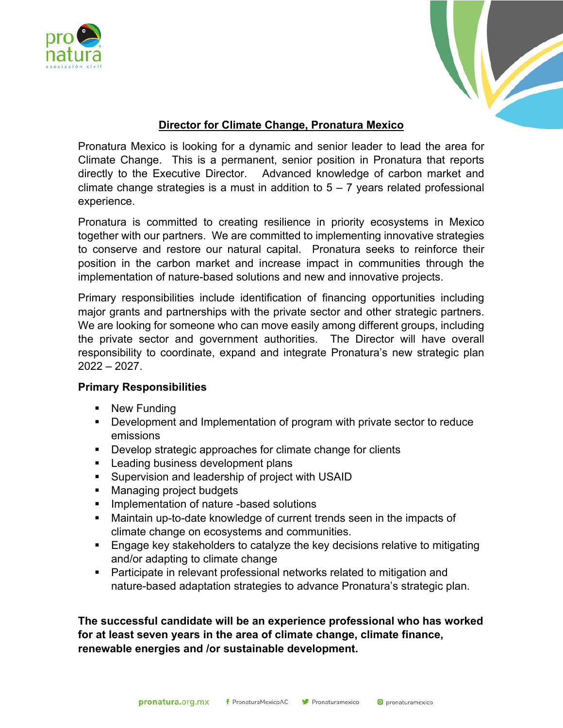



## **Director for Climate Change, Pronatura Mexico**

Pronatura Mexico is looking for a dynamic and senior leader to lead the area for Climate Change. This is a permanent, senior position in Pronatura that reports directly to the Executive Director. Advanced knowledge of carbon market and climate change strategies is a must in addition to  $5 - 7$  years related professional experience.

Pronatura is committed to creating resilience in priority ecosystems in Mexico together with our partners. We are committed to implementing innovative strategies to conserve and restore our natural capital. Pronatura seeks to reinforce their position in the carbon market and increase impact in communities through the implementation of nature-based solutions and new and innovative projects.

Primary responsibilities include identification of financing opportunities including major grants and partnerships with the private sector and other strategic partners. We are looking for someone who can move easily among different groups, including the private sector and government authorities. The Director will have overall responsibility to coordinate, expand and integrate Pronatura's new strategic plan 2022 – 2027.

## **Primary Responsibilities**

- New Funding
- § Development and Implementation of program with private sector to reduce emissions
- Develop strategic approaches for climate change for clients
- Leading business development plans
- Supervision and leadership of project with USAID
- Managing project budgets
- Implementation of nature -based solutions
- Maintain up-to-date knowledge of current trends seen in the impacts of climate change on ecosystems and communities.
- Engage key stakeholders to catalyze the key decisions relative to mitigating and/or adapting to climate change
- Participate in relevant professional networks related to mitigation and nature-based adaptation strategies to advance Pronatura's strategic plan.

**The successful candidate will be an experience professional who has worked for at least seven years in the area of climate change, climate finance, renewable energies and /or sustainable development.**